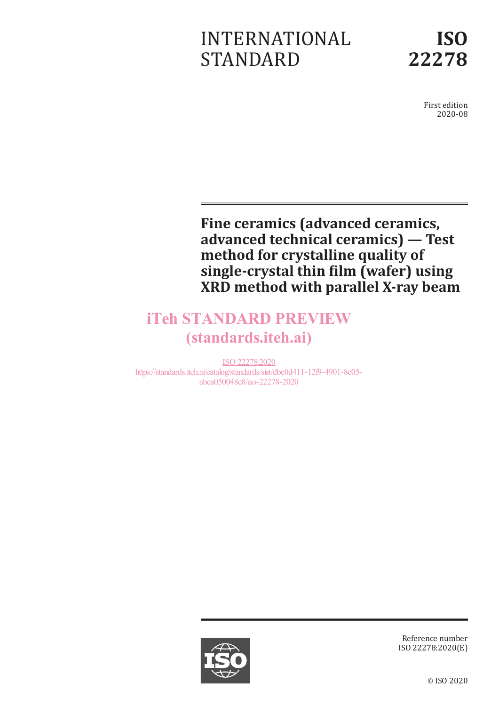# INTERNATIONAL STANDARD



First edition 2020-08

**Fine ceramics (advanced ceramics, advanced technical ceramics) — Test method for crystalline quality of single-crystal thin film (wafer) using XRD method with parallel X-ray beam**

# iTeh STANDARD PREVIEW (standards.iteh.ai)

ISO 22278:2020 https://standards.iteh.ai/catalog/standards/sist/dbe0d411-12f9-4901-8c05 abea050048e8/iso-22278-2020



Reference number ISO 22278:2020(E)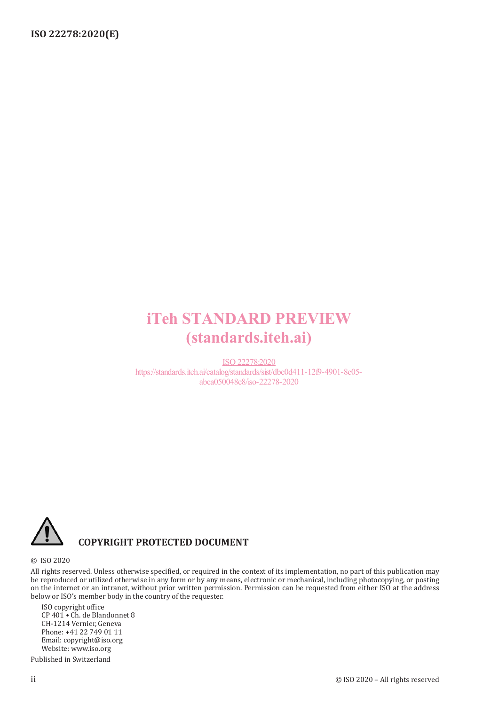# iTeh STANDARD PREVIEW (standards.iteh.ai)

ISO 22278:2020 https://standards.iteh.ai/catalog/standards/sist/dbe0d411-12f9-4901-8c05 abea050048e8/iso-22278-2020



# **COPYRIGHT PROTECTED DOCUMENT**

#### © ISO 2020

All rights reserved. Unless otherwise specified, or required in the context of its implementation, no part of this publication may be reproduced or utilized otherwise in any form or by any means, electronic or mechanical, including photocopying, or posting on the internet or an intranet, without prior written permission. Permission can be requested from either ISO at the address below or ISO's member body in the country of the requester.

ISO copyright office CP 401 • Ch. de Blandonnet 8 CH-1214 Vernier, Geneva Phone: +41 22 749 01 11 Email: copyright@iso.org Website: www.iso.org Published in Switzerland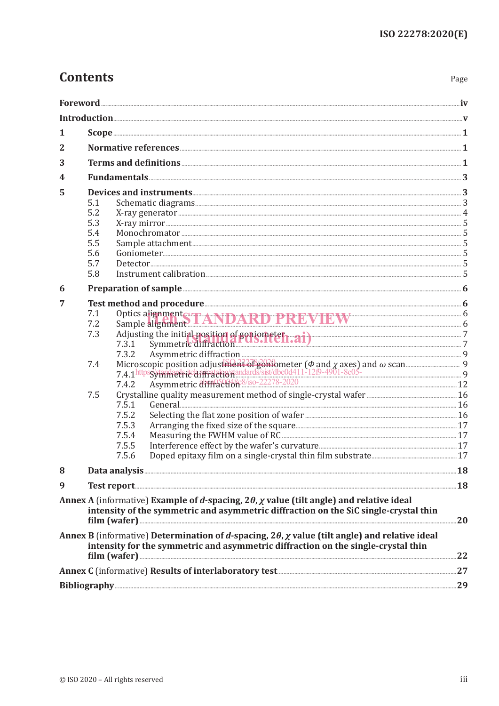Page

| 1                                                                                                                                                                                               |                                                                                                                                                                                                 |  |
|-------------------------------------------------------------------------------------------------------------------------------------------------------------------------------------------------|-------------------------------------------------------------------------------------------------------------------------------------------------------------------------------------------------|--|
| 2                                                                                                                                                                                               |                                                                                                                                                                                                 |  |
| 3                                                                                                                                                                                               |                                                                                                                                                                                                 |  |
| 4                                                                                                                                                                                               |                                                                                                                                                                                                 |  |
| 5                                                                                                                                                                                               |                                                                                                                                                                                                 |  |
|                                                                                                                                                                                                 | 5.1                                                                                                                                                                                             |  |
|                                                                                                                                                                                                 | 5.2                                                                                                                                                                                             |  |
|                                                                                                                                                                                                 | 5.3<br>5.4                                                                                                                                                                                      |  |
|                                                                                                                                                                                                 | 5.5                                                                                                                                                                                             |  |
|                                                                                                                                                                                                 | 5.6                                                                                                                                                                                             |  |
|                                                                                                                                                                                                 | $\textbf{Detector}\textcolor{red}{\textbf{cotor}}\textcolor{red}{\textbf{15}}\textcolor{red}{\textbf{5}}$<br>5.7                                                                                |  |
|                                                                                                                                                                                                 | 5.8                                                                                                                                                                                             |  |
| 6                                                                                                                                                                                               |                                                                                                                                                                                                 |  |
| 7                                                                                                                                                                                               |                                                                                                                                                                                                 |  |
|                                                                                                                                                                                                 | 7.1                                                                                                                                                                                             |  |
|                                                                                                                                                                                                 | Optics alignment STANDARD PREVIEW 66<br>7.2                                                                                                                                                     |  |
|                                                                                                                                                                                                 | Adjusting the initial position of goniometer.ai)<br>7.3.1 Symmetric diffraction<br>7.3                                                                                                          |  |
|                                                                                                                                                                                                 |                                                                                                                                                                                                 |  |
|                                                                                                                                                                                                 | 7.3.2<br>7.4                                                                                                                                                                                    |  |
|                                                                                                                                                                                                 |                                                                                                                                                                                                 |  |
|                                                                                                                                                                                                 | 7.4.2                                                                                                                                                                                           |  |
|                                                                                                                                                                                                 | 7.5                                                                                                                                                                                             |  |
|                                                                                                                                                                                                 | 7.5.1                                                                                                                                                                                           |  |
|                                                                                                                                                                                                 | 7.5.2                                                                                                                                                                                           |  |
|                                                                                                                                                                                                 | Arranging the fixed size of the square<br>7.5.3                                                                                                                                                 |  |
|                                                                                                                                                                                                 | 7.5.4                                                                                                                                                                                           |  |
|                                                                                                                                                                                                 | 7.5.5                                                                                                                                                                                           |  |
|                                                                                                                                                                                                 | 7.5.6                                                                                                                                                                                           |  |
| 8                                                                                                                                                                                               |                                                                                                                                                                                                 |  |
| 9                                                                                                                                                                                               |                                                                                                                                                                                                 |  |
| Annex A (informative) Example of $d$ -spacing, $2\theta$ , $\chi$ value (tilt angle) and relative ideal<br>intensity of the symmetric and asymmetric diffraction on the SiC single-crystal thin |                                                                                                                                                                                                 |  |
|                                                                                                                                                                                                 | Annex B (informative) Determination of d-spacing, $2\theta$ , $\chi$ value (tilt angle) and relative ideal<br>intensity for the symmetric and asymmetric diffraction on the single-crystal thin |  |
|                                                                                                                                                                                                 |                                                                                                                                                                                                 |  |
|                                                                                                                                                                                                 | Bibliography 29                                                                                                                                                                                 |  |

**Contents**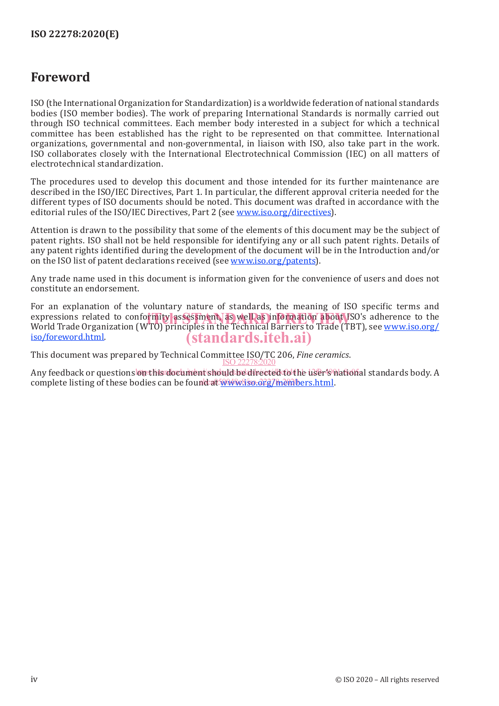# **Foreword**

ISO (the International Organization for Standardization) is a worldwide federation of national standards bodies (ISO member bodies). The work of preparing International Standards is normally carried out through ISO technical committees. Each member body interested in a subject for which a technical committee has been established has the right to be represented on that committee. International organizations, governmental and non-governmental, in liaison with ISO, also take part in the work. ISO collaborates closely with the International Electrotechnical Commission (IEC) on all matters of electrotechnical standardization.

The procedures used to develop this document and those intended for its further maintenance are described in the ISO/IEC Directives, Part 1. In particular, the different approval criteria needed for the different types of ISO documents should be noted. This document was drafted in accordance with the editorial rules of the ISO/IEC Directives, Part 2 (see www.iso.org/directives).

Attention is drawn to the possibility that some of the elements of this document may be the subject of patent rights. ISO shall not be held responsible for identifying any or all such patent rights. Details of any patent rights identified during the development of the document will be in the Introduction and/or on the ISO list of patent declarations received (see www.iso.org/patents).

Any trade name used in this document is information given for the convenience of users and does not constitute an endorsement.

For an explanation of the voluntary nature of standards, the meaning of ISO specific terms and expressions related to conformity assessment, as well as information about ISO's adherence to the<br>World Trade Organization (WTO) principles in the Technical Barriers to Trade (TBT), see www.iso.org/ World Trade Organization (WTO) principles in the Technical Barriers to Trade (TBT), see www.iso.org/ iso/foreword.html. (standards.iteh.ai)

This document was prepared by Technical Committee ISO/TC 206, *Fine ceramics*. ISO 22278:2020

Any feedback or questions <mark>on this document should be directed</mark> to the user 9 national standards body. A complete listing of these bodies can be found at <u>www.wsso.org/members.html</u>.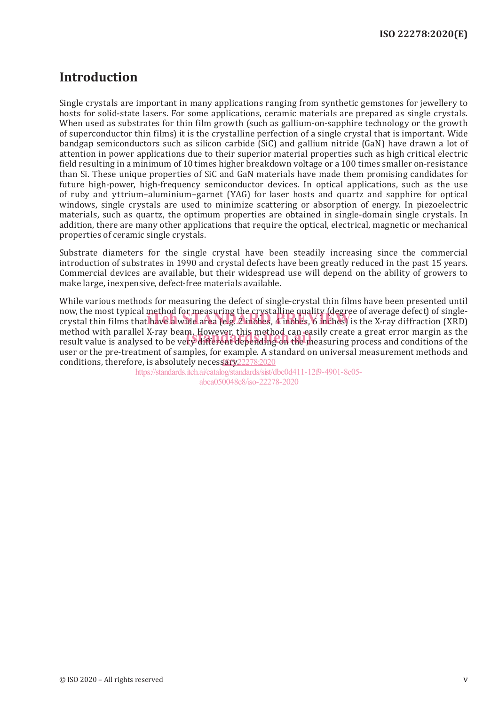# **Introduction**

Single crystals are important in many applications ranging from synthetic gemstones for jewellery to hosts for solid-state lasers. For some applications, ceramic materials are prepared as single crystals. When used as substrates for thin film growth (such as gallium-on-sapphire technology or the growth of superconductor thin films) it is the crystalline perfection of a single crystal that is important. Wide bandgap semiconductors such as silicon carbide (SiC) and gallium nitride (GaN) have drawn a lot of attention in power applications due to their superior material properties such as high critical electric field resulting in a minimum of 10 times higher breakdown voltage or a 100 times smaller on-resistance than Si. These unique properties of SiC and GaN materials have made them promising candidates for future high-power, high-frequency semiconductor devices. In optical applications, such as the use of ruby and yttrium–aluminium–garnet (YAG) for laser hosts and quartz and sapphire for optical windows, single crystals are used to minimize scattering or absorption of energy. In piezoelectric materials, such as quartz, the optimum properties are obtained in single-domain single crystals. In addition, there are many other applications that require the optical, electrical, magnetic or mechanical properties of ceramic single crystals.

Substrate diameters for the single crystal have been steadily increasing since the commercial introduction of substrates in 1990 and crystal defects have been greatly reduced in the past 15 years. Commercial devices are available, but their widespread use will depend on the ability of growers to make large, inexpensive, defect-free materials available.

While various methods for measuring the defect of single-crystal thin films have been presented until now, the most typical method for measuring the crystalline quality (degree of average defect) of singlenow, the most typical method for measuring the crystalline quality (degree of average defect) or single-<br>crystal thin films that have a wide area (e.g. 2 inches, 4 inches, 6 inches) is the X-ray diffraction (XRD) method with parallel X-ray beam. However, this method can easily create a great error margin as the method with parallel X-ray beam. However, this method can easily create a great error margin as the<br>result value is analysed to be very different depending on the measuring process and conditions of the user or the pre-treatment of samples, for example. A standard on universal measurement methods and conditions, therefore, is absolutely necessary  $22278\cdot 2020$ 

https://standards.iteh.ai/catalog/standards/sist/dbe0d411-12f9-4901-8c05 abea050048e8/iso-22278-2020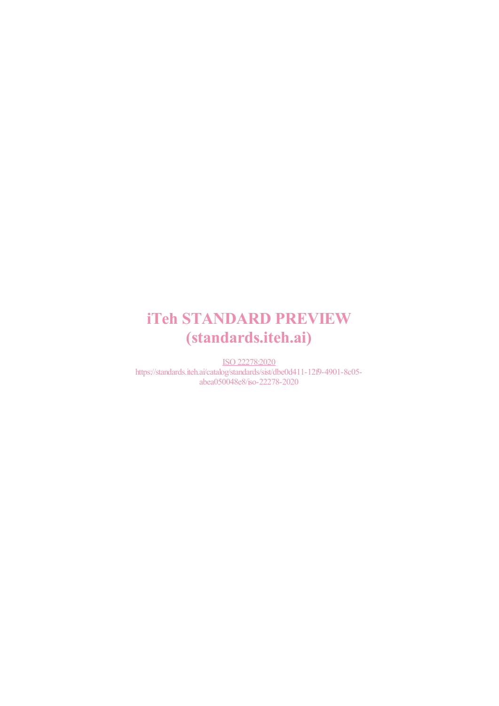# iTeh STANDARD PREVIEW (standards.iteh.ai)

ISO 22278:2020 https://standards.iteh.ai/catalog/standards/sist/dbe0d411-12f9-4901-8c05 abea050048e8/iso-22278-2020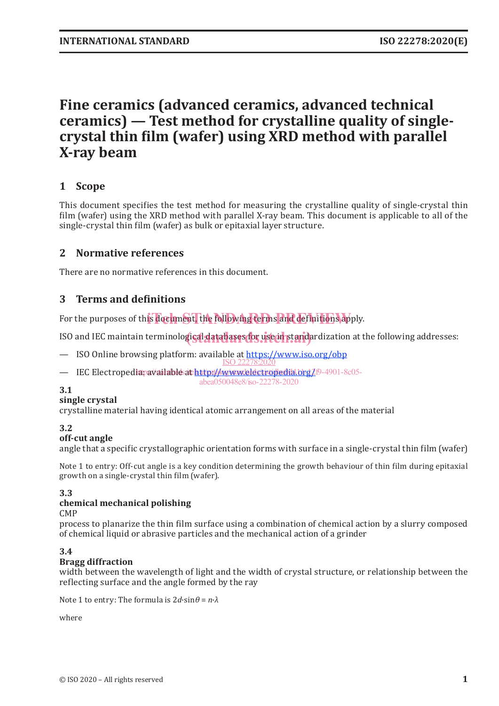# **Fine ceramics (advanced ceramics, advanced technical ceramics) — Test method for crystalline quality of singlecrystal thin film (wafer) using XRD method with parallel X-ray beam**

# **1 Scope**

This document specifies the test method for measuring the crystalline quality of single-crystal thin film (wafer) using the XRD method with parallel X-ray beam. This document is applicable to all of the single-crystal thin film (wafer) as bulk or epitaxial layer structure.

## **2 Normative references**

There are no normative references in this document.

# **3 Terms and definitions**

For the purposes of this document, the following terms and definitions apply.

ISO and IEC maintain terminolo**gical databases for use in stand**ardization at the following addresses:

- ISO Online browsing platform: available at <u>https://www.iso.org/obp</u><br><u>ISO 22278<sup>:</sup>2020</u>
- IEC Electropedia: pavailable at http://www.electropedia.brg/0-4901-8c05-

abea050048e8/iso-22278-2020

#### **3.1**

#### **single crystal**

crystalline material having identical atomic arrangement on all areas of the material

#### **3.2**

#### **off-cut angle**

angle that a specific crystallographic orientation forms with surface in a single-crystal thin film (wafer)

Note 1 to entry: Off-cut angle is a key condition determining the growth behaviour of thin film during epitaxial growth on a single-crystal thin film (wafer).

#### **3.3**

#### **chemical mechanical polishing**

#### CMP

process to planarize the thin film surface using a combination of chemical action by a slurry composed of chemical liquid or abrasive particles and the mechanical action of a grinder

#### **3.4**

#### **Bragg diffraction**

width between the wavelength of light and the width of crystal structure, or relationship between the reflecting surface and the angle formed by the ray

Note 1 to entry: The formula is 2*d*·sin*θ* = *n*·*λ*

where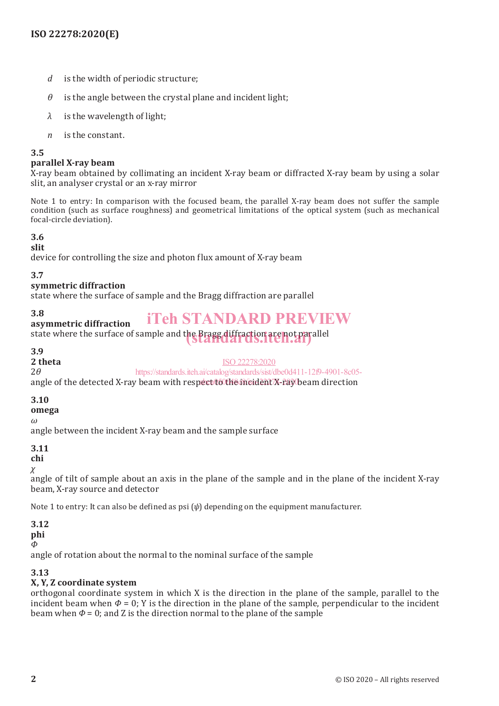- *d* is the width of periodic structure;
- *θ* is the angle between the crystal plane and incident light;
- *λ* is the wavelength of light;
- *n* is the constant.

#### **3.5**

#### **parallel X-ray beam**

X-ray beam obtained by collimating an incident X-ray beam or diffracted X-ray beam by using a solar slit, an analyser crystal or an x-ray mirror

Note 1 to entry: In comparison with the focused beam, the parallel X-ray beam does not suffer the sample condition (such as surface roughness) and geometrical limitations of the optical system (such as mechanical focal-circle deviation).

#### **3.6**

**slit**

device for controlling the size and photon flux amount of X-ray beam

#### **3.7**

#### **symmetric diffraction**

state where the surface of sample and the Bragg diffraction are parallel

#### **3.8**

#### **asymmetric diffraction** iTeh STANDARD PREVIEW

# state where the surface of sample and the Bragg diffraction are not parallel

#### **3.9**

**2 theta**

ISO 22278:2020

2*θ* https://standards.iteh.ai/catalog/standards/sist/dbe0d411-12f9-4901-8c05-

angle of the detected X-ray beam with respect to the incident <mark>X-ray</mark> beam direction

#### **3.10**

**omega**

#### *ω*

angle between the incident X-ray beam and the sample surface

#### **3.11**

**chi**

#### *χ*

angle of tilt of sample about an axis in the plane of the sample and in the plane of the incident X-ray beam, X-ray source and detector

Note 1 to entry: It can also be defined as psi (*ψ*) depending on the equipment manufacturer.

#### **3.12**

**phi**

*Φ*

angle of rotation about the normal to the nominal surface of the sample

#### **3.13**

#### **X, Y, Z coordinate system**

orthogonal coordinate system in which X is the direction in the plane of the sample, parallel to the incident beam when  $\Phi = 0$ ; Y is the direction in the plane of the sample, perpendicular to the incident beam when  $\Phi = 0$ ; and Z is the direction normal to the plane of the sample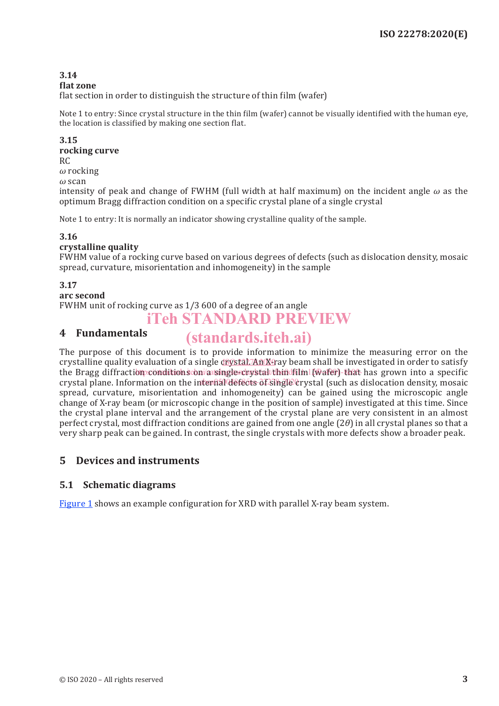## **3.14**

#### **flat zone**

flat section in order to distinguish the structure of thin film (wafer)

Note 1 to entry: Since crystal structure in the thin film (wafer) cannot be visually identified with the human eye, the location is classified by making one section flat.

# **3.15**

### **rocking curve**

RC

*ω* rocking

*ω* scan

intensity of peak and change of FWHM (full width at half maximum) on the incident angle *ω* as the optimum Bragg diffraction condition on a specific crystal plane of a single crystal

Note 1 to entry: It is normally an indicator showing crystalline quality of the sample.

#### **3.16**

#### **crystalline quality**

FWHM value of a rocking curve based on various degrees of defects (such as dislocation density, mosaic spread, curvature, misorientation and inhomogeneity) in the sample

### **3.17**

#### **arc second**

FWHM unit of rocking curve as 1/3 600 of a degree of an angle iTeh STANDARD PREVIEW

## **4 Fundamentals**

# (standards.iteh.ai)

The purpose of this document is to provide information to minimize the measuring error on the crystalline quality evaluation of a single drystal. An X-ray beam shall be investigated in order to satisfy the Bragg diffraction conditions on a single-crystal thin film (wafer) that has grown into a specific crystal plane. Information on the intennal defects of single crystal (such as dislocation density, mosaic spread, curvature, misorientation and inhomogeneity) can be gained using the microscopic angle change of X-ray beam (or microscopic change in the position of sample) investigated at this time. Since the crystal plane interval and the arrangement of the crystal plane are very consistent in an almost perfect crystal, most diffraction conditions are gained from one angle (2*θ*) in all crystal planes so that a very sharp peak can be gained. In contrast, the single crystals with more defects show a broader peak.

# **5 Devices and instruments**

#### **5.1 Schematic diagrams**

Figure 1 shows an example configuration for XRD with parallel X-ray beam system.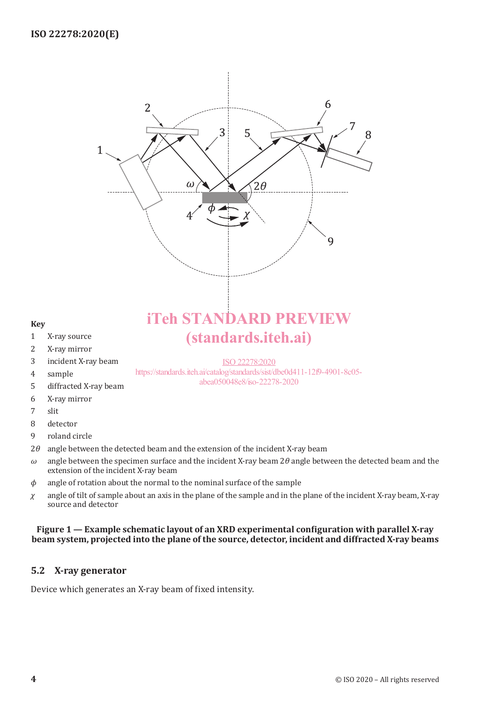

#### **Key**

- 1 X-ray source
- 2 X-ray mirror
- 3 incident X-ray beam

#### ISO 22278:2020

https://standards.iteh.ai/catalog/standards/sist/dbe0d411-12f9-4901-8c05 abea050048e8/iso-22278-2020

- 5 diffracted X-ray beam 6 X-ray mirror
- 7 slit

4 sample

- 
- 8 detector
- 9 roland circle
- 2*θ* angle between the detected beam and the extension of the incident X-ray beam
- *ω* angle between the specimen surface and the incident X-ray beam 2*θ* angle between the detected beam and the extension of the incident X-ray beam
- *ϕ* angle of rotation about the normal to the nominal surface of the sample
- *χ* angle of tilt of sample about an axis in the plane of the sample and in the plane of the incident X-ray beam, X-ray source and detector

#### **Figure 1 — Example schematic layout of an XRD experimental configuration with parallel X-ray beam system, projected into the plane of the source, detector, incident and diffracted X-ray beams**

#### **5.2 X-ray generator**

Device which generates an X-ray beam of fixed intensity.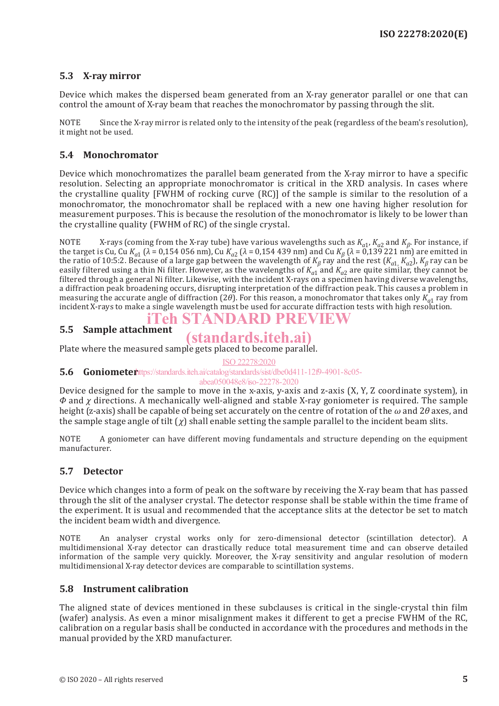### **5.3 X-ray mirror**

Device which makes the dispersed beam generated from an X-ray generator parallel or one that can control the amount of X-ray beam that reaches the monochromator by passing through the slit.

NOTE Since the X-ray mirror is related only to the intensity of the peak (regardless of the beam's resolution), it might not be used.

#### **5.4 Monochromator**

Device which monochromatizes the parallel beam generated from the X-ray mirror to have a specific resolution. Selecting an appropriate monochromator is critical in the XRD analysis. In cases where the crystalline quality [FWHM of rocking curve (RC)] of the sample is similar to the resolution of a monochromator, the monochromator shall be replaced with a new one having higher resolution for measurement purposes. This is because the resolution of the monochromator is likely to be lower than the crystalline quality (FWHM of RC) of the single crystal.

X-rays (coming from the X-ray tube) have various wavelengths such as  $K_{a1}$ ,  $K_{a2}$  and  $K_{\beta}$ . For instance, if the target is Cu, Cu  $K_{a1}$  (λ = 0,154 056 nm), Cu  $K_{a2}$  (λ = 0,154 439 nm) and Cu  $K_{β}$  (λ = 0,139 221 nm) are emitted in the ratio of 10:5:2. Because of a large gap between the wavelength of  $K_\beta$  ray and the rest  $(K_{a1}, K_{a2})$ ,  $K_\beta$  ray can be easily filtered using a thin Ni filter. However, as the wavelengths of  $K_{a1}$  and  $K_{a2}$  are quite similar, they cannot be filtered through a general Ni filter. Likewise, with the incident X-rays on a specimen having diverse wavelengths, a diffraction peak broadening occurs, disrupting interpretation of the diffraction peak. This causes a problem in measuring the accurate angle of diffraction (2θ). For this reason, a monochromator that takes only *K*<sub>*a*1</sub> ray from incident X-rays to make a single wavelength must be used for accurate diffraction tests with high resolution.

#### **5.5 Sample attachment** iTeh STANDARD PREVIEW

# (standards.iteh.ai)

Plate where the measured sample gets placed to become parallel.

#### ISO 22278:2020

#### **5.6 Goniometer** https://standards.iteh.ai/catalog/standards/sist/dbe0d411-12f9-4901-8c05-

abea050048e8/iso-22278-2020

Device designed for the sample to move in the x-axis, y-axis and z-axis (X, Y, Z coordinate system), in *Φ* and *χ* directions. A mechanically well-aligned and stable X-ray goniometer is required. The sample height (z-axis) shall be capable of being set accurately on the centre of rotation of the *ω* and 2*θ* axes, and the sample stage angle of tilt  $(\chi)$  shall enable setting the sample parallel to the incident beam slits.

NOTE A goniometer can have different moving fundamentals and structure depending on the equipment manufacturer.

#### **5.7 Detector**

Device which changes into a form of peak on the software by receiving the X-ray beam that has passed through the slit of the analyser crystal. The detector response shall be stable within the time frame of the experiment. It is usual and recommended that the acceptance slits at the detector be set to match the incident beam width and divergence.

NOTE An analyser crystal works only for zero-dimensional detector (scintillation detector). A multidimensional X-ray detector can drastically reduce total measurement time and can observe detailed information of the sample very quickly. Moreover, the X-ray sensitivity and angular resolution of modern multidimensional X-ray detector devices are comparable to scintillation systems.

#### **5.8 Instrument calibration**

The aligned state of devices mentioned in these subclauses is critical in the single-crystal thin film (wafer) analysis. As even a minor misalignment makes it different to get a precise FWHM of the RC, calibration on a regular basis shall be conducted in accordance with the procedures and methods in the manual provided by the XRD manufacturer.